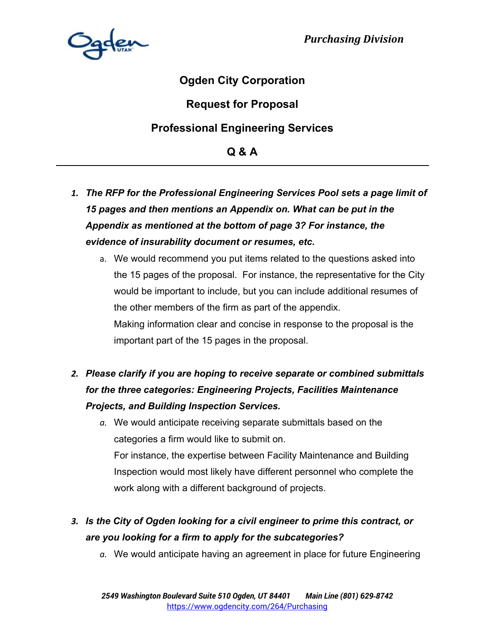

## **Ogden City Corporation**

## **Request for Proposal**

## **Professional Engineering Services**

**Q & A** 

- *1. The RFP for the Professional Engineering Services Pool sets a page limit of 15 pages and then mentions an Appendix on. What can be put in the Appendix as mentioned at the bottom of page 3? For instance, the evidence of insurability document or resumes, etc.*
	- a. We would recommend you put items related to the questions asked into the 15 pages of the proposal. For instance, the representative for the City would be important to include, but you can include additional resumes of the other members of the firm as part of the appendix. Making information clear and concise in response to the proposal is the important part of the 15 pages in the proposal.

# *2. Please clarify if you are hoping to receive separate or combined submittals for the three categories: Engineering Projects, Facilities Maintenance Projects, and Building Inspection Services.*

*a.* We would anticipate receiving separate submittals based on the categories a firm would like to submit on. For instance, the expertise between Facility Maintenance and Building Inspection would most likely have different personnel who complete the work along with a different background of projects.

# *3. Is the City of Ogden looking for a civil engineer to prime this contract, or are you looking for a firm to apply for the subcategories?*

*a.* We would anticipate having an agreement in place for future Engineering